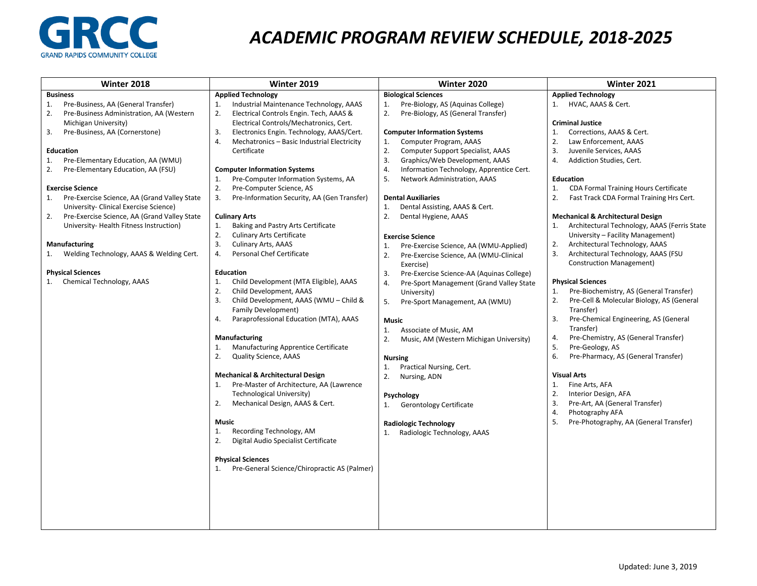

## *ACADEMIC PROGRAM REVIEW SCHEDULE, 2018-2025*